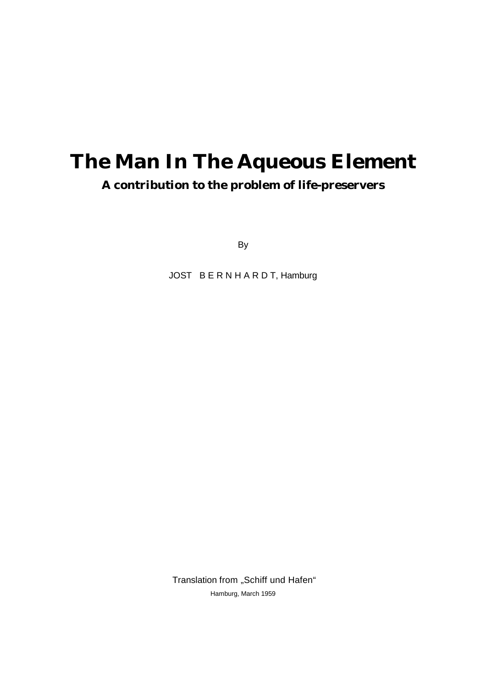# **The Man In The Aqueous Element A contribution to the problem of life-preservers**

By

JOST B E R N H A R D T, Hamburg

Translation from "Schiff und Hafen" Hamburg, March 1959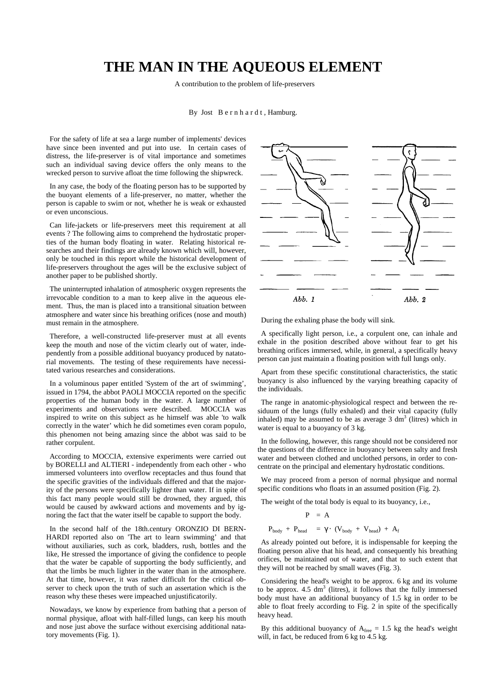# **THE MAN IN THE AQUEOUS ELEMENT**

A contribution to the problem of life-preservers

#### By Jost B e r n h a r d t , Hamburg.

For the safety of life at sea a large number of implements' devices have since been invented and put into use. In certain cases of distress, the life-preserver is of vital importance and sometimes such an individual saving device offers the only means to the wrecked person to survive afloat the time following the shipwreck.

In any case, the body of the floating person has to be supported by the buoyant elements of a life-preserver, no matter, whether the person is capable to swim or not, whether he is weak or exhausted or even unconscious.

Can life-jackets or life-preservers meet this requirement at all events ? The following aims to comprehend the hydrostatic properties of the human body floating in water. Relating historical researches and their findings are already known which will, however, only be touched in this report while the historical development of life-preservers throughout the ages will be the exclusive subject of another paper to be published shortly.

The uninterrupted inhalation of atmospheric oxygen represents the irrevocable condition to a man to keep alive in the aqueous element. Thus, the man is placed into a transitional situation between atmosphere and water since his breathing orifices (nose and mouth) must remain in the atmosphere.

Therefore, a well-constructed life-preserver must at all events keep the mouth and nose of the victim clearly out of water, independently from a possible additional buoyancy produced by natatorial movements. The testing of these requirements have necessitated various researches and considerations.

In a voluminous paper entitled 'System of the art of swimming', issued in 1794, the abbot PAOLI MOCCIA reported on the specific properties of the human body in the water. A large number of experiments and observations were described. MOCCIA was inspired to write on this subject as he himself was able 'to walk correctly in the water' which he did sometimes even coram populo, this phenomen not being amazing since the abbot was said to be rather corpulent.

According to MOCCIA, extensive experiments were carried out by BORELLI and ALTIERI - independently from each other - who immersed volunteers into overflow receptacles and thus found that the specific gravities of the individuals differed and that the majority of the persons were specifically lighter than water. If in spite of this fact many people would still be drowned, they argued, this would be caused by awkward actions and movements and by ignoring the fact that the water itself be capable to support the body.

In the second half of the 18th.century ORONZIO DI BERN-HARDI reported also on 'The art to learn swimming' and that without auxiliaries, such as cork, bladders, rush, bottles and the like, He stressed the importance of giving the confidence to people that the water be capable of supporting the body sufficiently, and that the limbs be much lighter in the water than in the atmosphere. At that time, however, it was rather difficult for the critical observer to check upon the truth of such an assertation which is the reason why these theses were impeached unjustificatorily.

Nowadays, we know by experience from bathing that a person of normal physique, afloat with half-filled lungs, can keep his mouth and nose just above the surface without exercising additional natatory movements (Fig. 1).



During the exhaling phase the body will sink.

A specifically light person, i.e., a corpulent one, can inhale and exhale in the position described above without fear to get his breathing orifices immersed, while, in general, a specifically heavy person can just maintain a floating position with full lungs only.

Apart from these specific constitutional characteristics, the static buoyancy is also influenced by the varying breathing capacity of the individuals.

The range in anatomic-physiological respect and between the residuum of the lungs (fully exhaled) and their vital capacity (fully inhaled) may be assumed to be as average  $3 \text{ dm}^3$  (litres) which in water is equal to a buoyancy of 3 kg.

In the following, however, this range should not be considered nor the questions of the difference in buoyancy between salty and fresh water and between clothed and unclothed persons, in order to concentrate on the principal and elementary hydrostatic conditions.

We may proceed from a person of normal physique and normal specific conditions who floats in an assumed position (Fig. 2).

The weight of the total body is equal to its buoyancy, i.e.,

$$
P = A
$$
  

$$
P_{body} + P_{head} = \gamma \cdot (V_{body} + V_{head}) + A_f
$$

As already pointed out before, it is indispensable for keeping the floating person alive that his head, and consequently his breathing orifices, be maintained out of water, and that to such extent that they will not be reached by small waves (Fig. 3).

Considering the head's weight to be approx. 6 kg and its volume to be approx.  $4.5 \text{ dm}^3$  (litres), it follows that the fully immersed body must have an additional buoyancy of 1.5 kg in order to be able to float freely according to Fig. 2 in spite of the specifically heavy head.

By this additional buoyancy of  $A_{\text{free}} = 1.5$  kg the head's weight will, in fact, be reduced from 6 kg to 4.5 kg.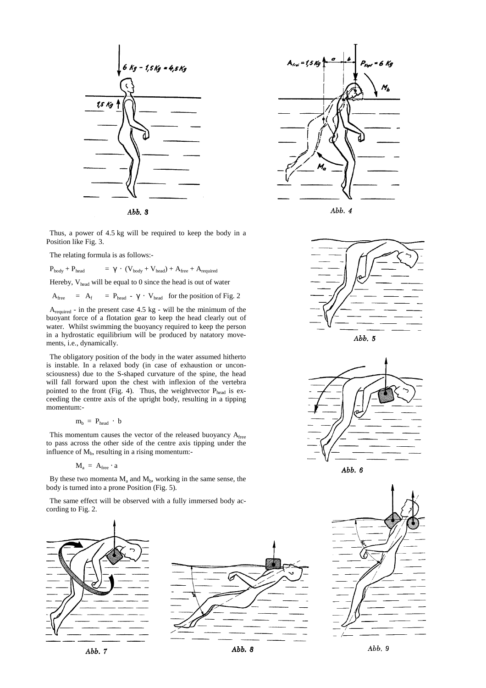

Thus, a power of 4.5 kg will be required to keep the body in a Position like Fig. 3.

The relating formula is as follows:-

 $P_{body} + P_{head}$  = γ ⋅ (V<sub>body</sub> + V<sub>head</sub>) + A<sub>free</sub> + A<sub>required</sub>

Hereby,  $V_{head}$  will be equal to 0 since the head is out of water

 $A_{\text{free}}$  =  $A_f$  =  $P_{\text{head}}$  -  $\gamma \cdot V_{\text{head}}$  for the position of Fig. 2

 $A_{required}$  - in the present case 4.5 kg - will be the minimum of the buoyant force of a flotation gear to keep the head clearly out of water. Whilst swimming the buoyancy required to keep the person in a hydrostatic equilibrium will be produced by natatory movements, i.e., dynamically.

The obligatory position of the body in the water assumed hitherto is instable. In a relaxed body (in case of exhaustion or unconsciousness) due to the S-shaped curvature of the spine, the head will fall forward upon the chest with inflexion of the vertebra pointed to the front (Fig. 4). Thus, the weightvector  $P_{head}$  is exceeding the centre axis of the upright body, resulting in a tipping momentum:-

$$
m_b = P_{head} \cdot b
$$

This momentum causes the vector of the released buoyancy Afree to pass across the other side of the centre axis tipping under the influence of  $M<sub>b</sub>$ , resulting in a rising momentum:-

$$
M_a = A_{\text{free}} \cdot a
$$

By these two momenta  $M_a$  and  $M_b$ , working in the same sense, the body is turned into a prone Position (Fig. 5).

The same effect will be observed with a fully immersed body according to Fig. 2.

















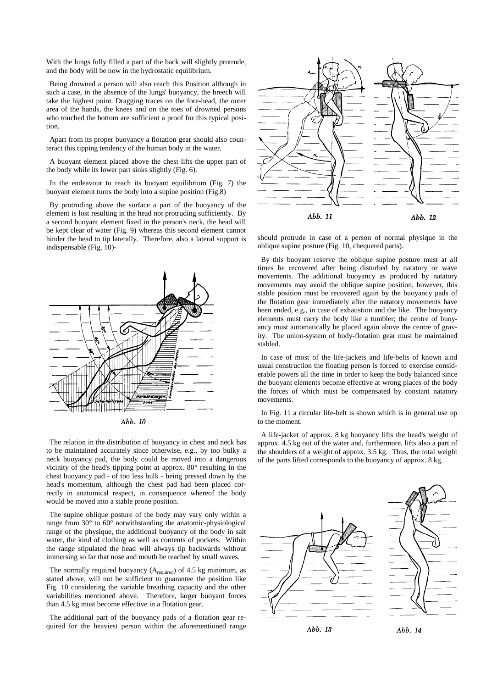With the lungs fully filled a part of the back will slightly protrude. and the body will be now in the hydrostatic equilibrium.

Being drowned a person will also reach this Position although in such a case, in the absence of the lungs' buoyancy, the breech will take the highest point. Dragging traces on the fore-head, the outer area of the hands, the knees and on the toes of drowned persons who touched the bottom are sufficient a proof for this typical position.

Apart from its proper buoyancy a flotation gear should also counteract this tipping tendency of the human body in the water.

A buoyant element placed above the chest lifts the upper part of the body while its lower part sinks slightly (Fig. 6).

In the endeavour to reach its buoyant equilibrium (Fig. 7) the buoyant element turns the body into a supine position (Fig.8)

By protruding above the surface a part of the buoyancy of the element is lost resulting in the head not protruding sufficiently. By a second buoyant element fixed in the person's neck, the head will be kept clear of water (Fig. 9) whereas this second element cannot hinder the head to tip laterally. Therefore, also a lateral support is indispensable (Fig. 10)-



The relation in the distribution of buoyancy in chest and neck has to be maintained accurately since otherwise, e.g., by too bulky a neck buoyancy pad, the body could be moved into a dangerous vicinity of the head's tipping point at approx. 80° resulting in the chest buoyancy pad - of too less bulk - being pressed down by the head's momentum, although the chest pad had been placed correctly in anatomical respect, in consequence whereof the body would be moved into a stable prone position.

The supine oblique posture of the body may vary only within a range from 30° to 60° notwithstanding the anatomic-physiological range of the physique, the additional buoyancy of the body in salt water, the kind of clothing as well as contents of pockets. Within the range stipulated the head will always tip backwards without immersing so far that nose and mouth be reached by small waves.

The normally required buoyancy  $(A_{required})$  of 4.5 kg minimum, as stated above, will not be sufficient to guarantee the position like Fig. 10 considering the variable breathing capacity and the other variabilities mentioned above. Therefore, larger buoyant forces than 4.5 kg must become effective in a flotation gear.

The additional part of the buoyancy pads of a flotation gear required for the heaviest person within the aforementioned range



should protrude in case of a person of normal physique in the oblique supine posture (Fig. 10, chequered parts).

By this buoyant reserve the oblique supine posture must at all times be recovered after being disturbed by natatory or wave movements. The additional buoyancy as produced by natatory movements may avoid the oblique supine position, however, this stable position must be recovered again by the buoyancy pads of the flotation gear immediately after the natatory movements have been ended, e.g., in case of exhaustion and the like. The buoyancy elements must carry the body like a tumbler; the centre of buoyancy must automatically be placed again above the centre of gravity. The union-system of body-flotation gear must be maintained stabled.

In case of most of the life-jackets and life-belts of known a.nd usual construction the floating person is forced to exercise considerable powers all the time in order to keep the body balanced since the buoyant elements become effective at wrong places of the body the forces of which must be compensated by constant natatory movements.

In Fig. 11 a circular life-belt is shown which is in general use up to the moment.

A life-jacket of approx. 8 kg buoyancy lifts the head's weight of approx. 4.5 kg out of the water and, furthermore, lifts also a part of the shoulders of a weight of approx. 3.5 kg. Thus, the total weight of the parts lifted corresponds to the buoyancy of approx. 8 kg.



Abb. 13

Abb. 14